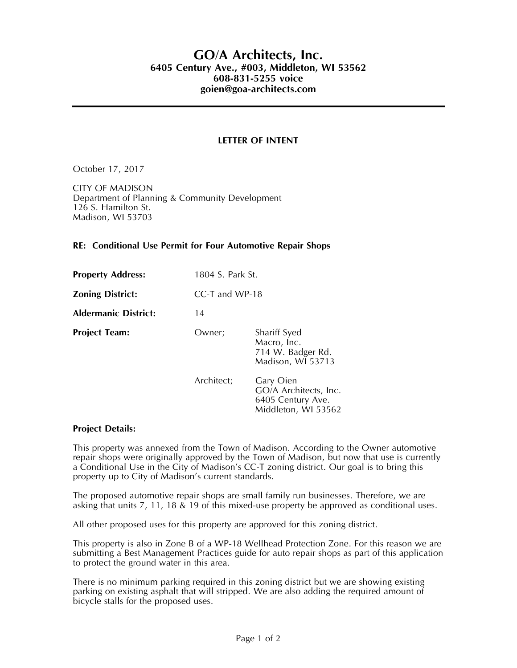## **GO/A Architects, Inc. 6405 Century Ave., #003, Middleton, WI 53562 608-831-5255 voice goien@goa-architects.com**

## **LETTER OF INTENT**

October 17, 2017

CITY OF MADISON Department of Planning & Community Development 126 S. Hamilton St. Madison, WI 53703

## **RE: Conditional Use Permit for Four Automotive Repair Shops**

| <b>Property Address:</b>    | 1804 S. Park St. |                                                                                |
|-----------------------------|------------------|--------------------------------------------------------------------------------|
| <b>Zoning District:</b>     | CC-T and WP-18   |                                                                                |
| <b>Aldermanic District:</b> | 14               |                                                                                |
| <b>Project Team:</b>        | Owner:           | Shariff Syed<br>Macro, Inc.<br>714 W. Badger Rd.<br>Madison, WI 53713          |
|                             | Architect;       | Gary Oien<br>GO/A Architects, Inc.<br>6405 Century Ave.<br>Middleton, WI 53562 |

## **Project Details:**

This property was annexed from the Town of Madison. According to the Owner automotive repair shops were originally approved by the Town of Madison, but now that use is currently a Conditional Use in the City of Madison's CC-T zoning district. Our goal is to bring this property up to City of Madison's current standards.

The proposed automotive repair shops are small family run businesses. Therefore, we are asking that units 7, 11, 18 & 19 of this mixed-use property be approved as conditional uses.

All other proposed uses for this property are approved for this zoning district.

This property is also in Zone B of a WP-18 Wellhead Protection Zone. For this reason we are submitting a Best Management Practices guide for auto repair shops as part of this application to protect the ground water in this area.

There is no minimum parking required in this zoning district but we are showing existing parking on existing asphalt that will stripped. We are also adding the required amount of bicycle stalls for the proposed uses.